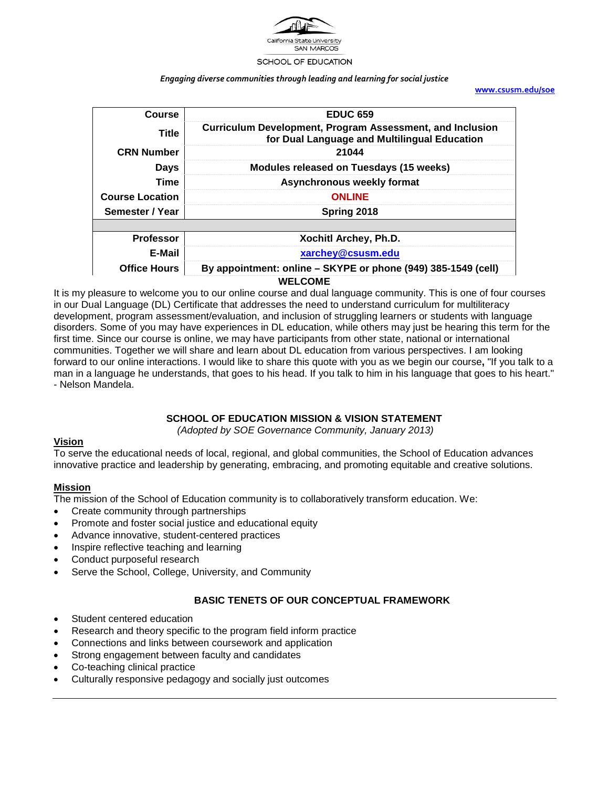

#### SCHOOL OF EDUCATION

#### *Engaging diverse communities through leading and learning for social justice*

**[www.csusm.edu/soe](http://www.csusm.edu/soe)**

| Course                 | <b>EDUC 659</b>                                                                                           |
|------------------------|-----------------------------------------------------------------------------------------------------------|
| <b>Title</b>           | Curriculum Development, Program Assessment, and Inclusion<br>for Dual Language and Multilingual Education |
| <b>CRN Number</b>      | 21044                                                                                                     |
| <b>Days</b>            | <b>Modules released on Tuesdays (15 weeks)</b>                                                            |
| <b>Time</b>            | Asynchronous weekly format                                                                                |
| <b>Course Location</b> | <b>ONLINE</b>                                                                                             |
| Semester / Year        | Spring 2018                                                                                               |
|                        |                                                                                                           |
| <b>Professor</b>       | Xochitl Archey, Ph.D.                                                                                     |
| E-Mail                 | xarchey@csusm.edu                                                                                         |
| <b>Office Hours</b>    | By appointment: online – SKYPE or phone (949) 385-1549 (cell)                                             |
|                        | <b>WELCOME</b>                                                                                            |

It is my pleasure to welcome you to our online course and dual language community. This is one of four courses in our Dual Language (DL) Certificate that addresses the need to understand curriculum for multiliteracy development, program assessment/evaluation, and inclusion of struggling learners or students with language disorders. Some of you may have experiences in DL education, while others may just be hearing this term for the first time. Since our course is online, we may have participants from other state, national or international communities. Together we will share and learn about DL education from various perspectives. I am looking forward to our online interactions. I would like to share this quote with you as we begin our course**,** "If you talk to a man in a language he understands, that goes to his head. If you talk to him in his language that goes to his heart." - Nelson Mandela.

#### **SCHOOL OF EDUCATION MISSION & VISION STATEMENT**

*(Adopted by SOE Governance Community, January 2013)*

#### **Vision**

To serve the educational needs of local, regional, and global communities, the School of Education advances innovative practice and leadership by generating, embracing, and promoting equitable and creative solutions.

#### **Mission**

The mission of the School of Education community is to collaboratively transform education. We:

- Create community through partnerships
- Promote and foster social justice and educational equity
- Advance innovative, student-centered practices
- Inspire reflective teaching and learning
- Conduct purposeful research
- Serve the School, College, University, and Community

#### **BASIC TENETS OF OUR CONCEPTUAL FRAMEWORK**

- Student centered education
- Research and theory specific to the program field inform practice
- Connections and links between coursework and application
- Strong engagement between faculty and candidates
- Co-teaching clinical practice
- Culturally responsive pedagogy and socially just outcomes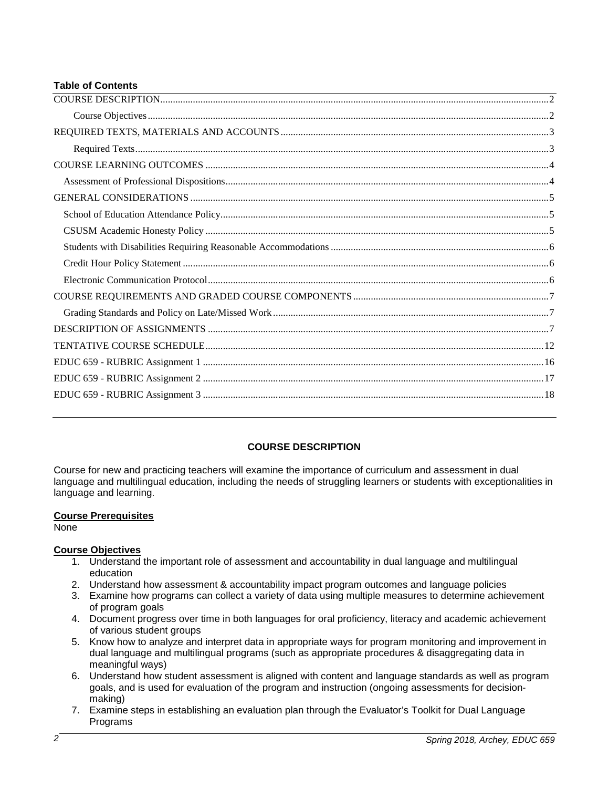#### **Table of Contents**

### **COURSE DESCRIPTION**

<span id="page-1-0"></span>Course for new and practicing teachers will examine the importance of curriculum and assessment in dual language and multilingual education, including the needs of struggling learners or students with exceptionalities in language and learning.

### **Course Prerequisites**

None

### <span id="page-1-1"></span>**Course Objectives**

- 1. Understand the important role of assessment and accountability in dual language and multilingual education
- 2. Understand how assessment & accountability impact program outcomes and language policies
- 3. Examine how programs can collect a variety of data using multiple measures to determine achievement of program goals
- 4. Document progress over time in both languages for oral proficiency, literacy and academic achievement of various student groups
- 5. Know how to analyze and interpret data in appropriate ways for program monitoring and improvement in dual language and multilingual programs (such as appropriate procedures & disaggregating data in meaningful ways)
- 6. Understand how student assessment is aligned with content and language standards as well as program goals, and is used for evaluation of the program and instruction (ongoing assessments for decisionmaking)
- 7. Examine steps in establishing an evaluation plan through the Evaluator's Toolkit for Dual Language Programs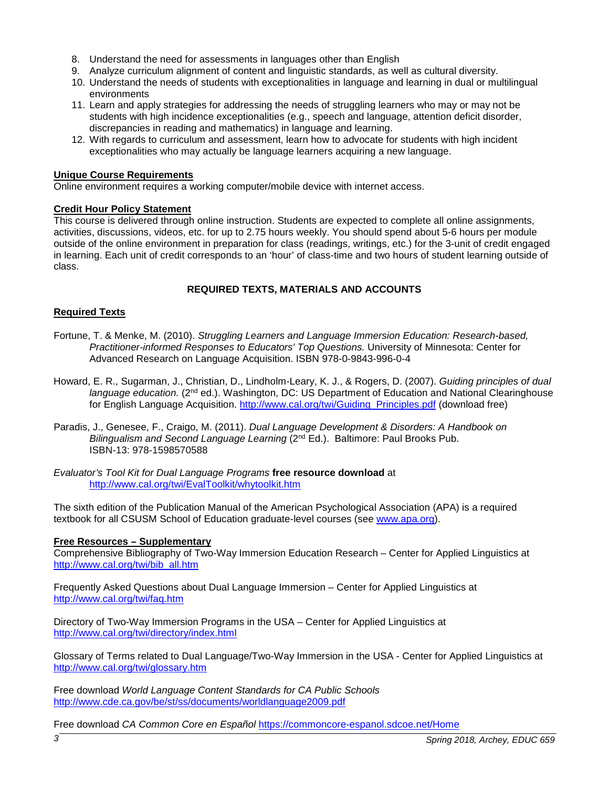- 8. Understand the need for assessments in languages other than English
- 9. Analyze curriculum alignment of content and linguistic standards, as well as cultural diversity.
- 10. Understand the needs of students with exceptionalities in language and learning in dual or multilingual environments
- 11. Learn and apply strategies for addressing the needs of struggling learners who may or may not be students with high incidence exceptionalities (e.g., speech and language, attention deficit disorder, discrepancies in reading and mathematics) in language and learning.
- 12. With regards to curriculum and assessment, learn how to advocate for students with high incident exceptionalities who may actually be language learners acquiring a new language.

#### **Unique Course Requirements**

Online environment requires a working computer/mobile device with internet access.

#### **Credit Hour Policy Statement**

This course is delivered through online instruction. Students are expected to complete all online assignments, activities, discussions, videos, etc. for up to 2.75 hours weekly. You should spend about 5-6 hours per module outside of the online environment in preparation for class (readings, writings, etc.) for the 3-unit of credit engaged in learning. Each unit of credit corresponds to an 'hour' of class-time and two hours of student learning outside of class.

### **REQUIRED TEXTS, MATERIALS AND ACCOUNTS**

#### <span id="page-2-1"></span><span id="page-2-0"></span>**Required Texts**

- Fortune, T. & Menke, M. (2010). *Struggling Learners and Language Immersion Education: Research-based, Practitioner-informed Responses to Educators' Top Questions.* University of Minnesota: Center for Advanced Research on Language Acquisition. ISBN 978-0-9843-996-0-4
- Howard, E. R., Sugarman, J., Christian, D., Lindholm-Leary, K. J., & Rogers, D. (2007). *Guiding principles of dual*  language education. (2<sup>nd</sup> ed.). Washington, DC: US Department of Education and National Clearinghouse for English Language Acquisition. [http://www.cal.org/twi/Guiding\\_Principles.pdf](http://www.cal.org/twi/Guiding_Principles.pdf) (download free)
- Paradis, J., Genesee, F., Craigo, M. (2011). *Dual Language Development & Disorders: A Handbook on Bilingualism and Second Language Learning* (2nd Ed.). Baltimore: Paul Brooks Pub. ISBN-13: 978-1598570588

*Evaluator's Tool Kit for Dual Language Programs* **free resource download** at <http://www.cal.org/twi/EvalToolkit/whytoolkit.htm>

The sixth edition of the Publication Manual of the American Psychological Association (APA) is a required textbook for all CSUSM School of Education graduate-level courses (see [www.apa.org\)](http://www.apa.org/).

#### **Free Resources – Supplementary**

Comprehensive Bibliography of Two-Way Immersion Education Research – Center for Applied Linguistics at [http://www.cal.org/twi/bib\\_all.htm](http://www.cal.org/twi/bib_all.htm)

Frequently Asked Questions about Dual Language Immersion – Center for Applied Linguistics at <http://www.cal.org/twi/faq.htm>

Directory of Two-Way Immersion Programs in the USA – Center for Applied Linguistics at <http://www.cal.org/twi/directory/index.html>

Glossary of Terms related to Dual Language/Two-Way Immersion in the USA - Center for Applied Linguistics at <http://www.cal.org/twi/glossary.htm>

Free download *World Language Content Standards for CA Public Schools* <http://www.cde.ca.gov/be/st/ss/documents/worldlanguage2009.pdf>

Free download *CA Common Core en Español* <https://commoncore-espanol.sdcoe.net/Home>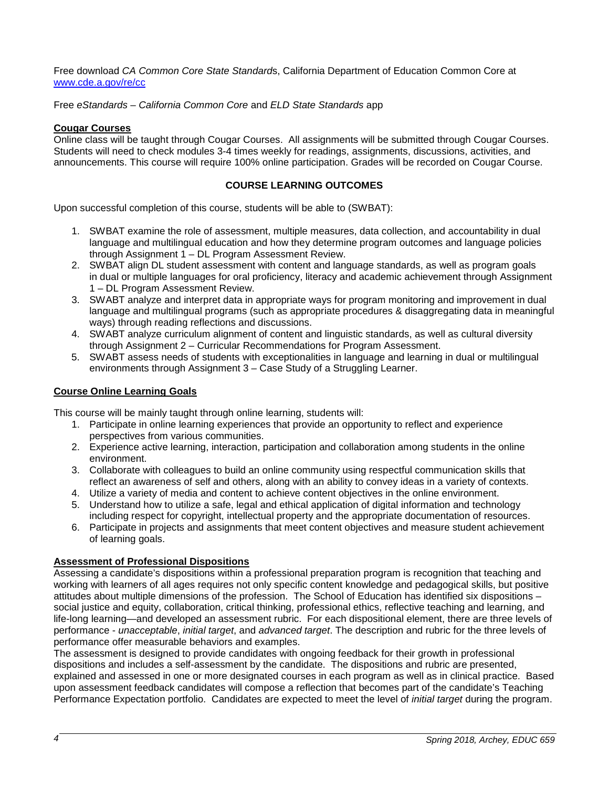Free download *CA Common Core State Standard*s, California Department of Education Common Core at [www.cde.a.gov/re/cc](http://www.cde.a.gov/re/cc)

Free *eStandards* – *California Common Core* and *ELD State Standards* app

#### **Cougar Courses**

Online class will be taught through Cougar Courses. All assignments will be submitted through Cougar Courses. Students will need to check modules 3-4 times weekly for readings, assignments, discussions, activities, and announcements. This course will require 100% online participation. Grades will be recorded on Cougar Course.

#### **COURSE LEARNING OUTCOMES**

<span id="page-3-0"></span>Upon successful completion of this course, students will be able to (SWBAT):

- 1. SWBAT examine the role of assessment, multiple measures, data collection, and accountability in dual language and multilingual education and how they determine program outcomes and language policies through Assignment 1 – DL Program Assessment Review.
- 2. SWBAT align DL student assessment with content and language standards, as well as program goals in dual or multiple languages for oral proficiency, literacy and academic achievement through Assignment 1 – DL Program Assessment Review.
- 3. SWABT analyze and interpret data in appropriate ways for program monitoring and improvement in dual language and multilingual programs (such as appropriate procedures & disaggregating data in meaningful ways) through reading reflections and discussions.
- 4. SWABT analyze curriculum alignment of content and linguistic standards, as well as cultural diversity through Assignment 2 – Curricular Recommendations for Program Assessment.
- 5. SWABT assess needs of students with exceptionalities in language and learning in dual or multilingual environments through Assignment 3 – Case Study of a Struggling Learner.

#### **Course Online Learning Goals**

This course will be mainly taught through online learning, students will:

- 1. Participate in online learning experiences that provide an opportunity to reflect and experience perspectives from various communities.
- 2. Experience active learning, interaction, participation and collaboration among students in the online environment.
- 3. Collaborate with colleagues to build an online community using respectful communication skills that reflect an awareness of self and others, along with an ability to convey ideas in a variety of contexts.
- 4. Utilize a variety of media and content to achieve content objectives in the online environment.
- 5. Understand how to utilize a safe, legal and ethical application of digital information and technology including respect for copyright, intellectual property and the appropriate documentation of resources.
- 6. Participate in projects and assignments that meet content objectives and measure student achievement of learning goals.

#### <span id="page-3-1"></span>**Assessment of Professional Dispositions**

Assessing a candidate's dispositions within a professional preparation program is recognition that teaching and working with learners of all ages requires not only specific content knowledge and pedagogical skills, but positive attitudes about multiple dimensions of the profession. The School of Education has identified six dispositions – social justice and equity, collaboration, critical thinking, professional ethics, reflective teaching and learning, and life-long learning—and developed an assessment rubric. For each dispositional element, there are three levels of performance - *unacceptable*, *initial target*, and *advanced target*. The description and rubric for the three levels of performance offer measurable behaviors and examples.

The assessment is designed to provide candidates with ongoing feedback for their growth in professional dispositions and includes a self-assessment by the candidate. The dispositions and rubric are presented, explained and assessed in one or more designated courses in each program as well as in clinical practice. Based upon assessment feedback candidates will compose a reflection that becomes part of the candidate's Teaching Performance Expectation portfolio. Candidates are expected to meet the level of *initial target* during the program.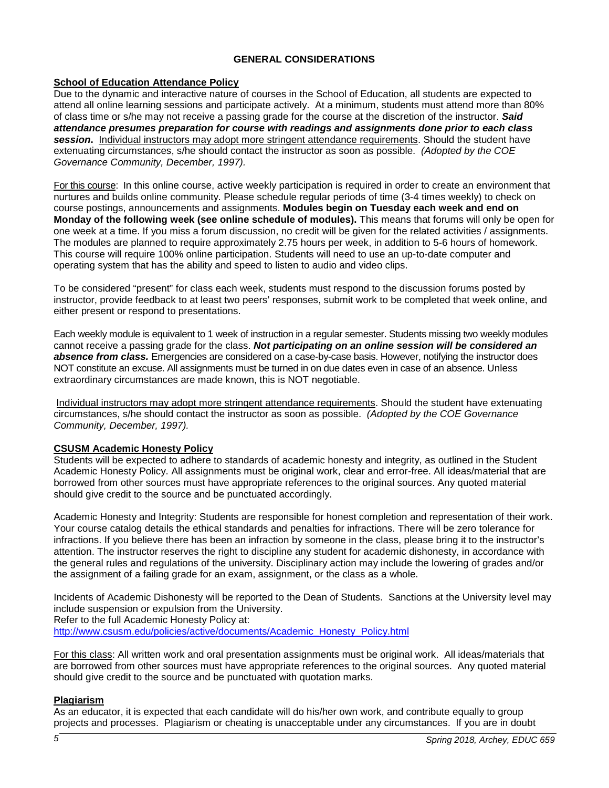### **GENERAL CONSIDERATIONS**

#### <span id="page-4-1"></span><span id="page-4-0"></span>**School of Education Attendance Policy**

Due to the dynamic and interactive nature of courses in the School of Education, all students are expected to attend all online learning sessions and participate actively. At a minimum, students must attend more than 80% of class time or s/he may not receive a passing grade for the course at the discretion of the instructor. *Said attendance presumes preparation for course with readings and assignments done prior to each class session***.** Individual instructors may adopt more stringent attendance requirements. Should the student have extenuating circumstances, s/he should contact the instructor as soon as possible. *(Adopted by the COE Governance Community, December, 1997).*

For this course: In this online course, active weekly participation is required in order to create an environment that nurtures and builds online community. Please schedule regular periods of time (3-4 times weekly) to check on course postings, announcements and assignments. **Modules begin on Tuesday each week and end on Monday of the following week (see online schedule of modules).** This means that forums will only be open for one week at a time. If you miss a forum discussion, no credit will be given for the related activities / assignments. The modules are planned to require approximately 2.75 hours per week, in addition to 5-6 hours of homework. This course will require 100% online participation. Students will need to use an up-to-date computer and operating system that has the ability and speed to listen to audio and video clips.

To be considered "present" for class each week, students must respond to the discussion forums posted by instructor, provide feedback to at least two peers' responses, submit work to be completed that week online, and either present or respond to presentations.

Each weekly module is equivalent to 1 week of instruction in a regular semester. Students missing two weekly modules cannot receive a passing grade for the class. *Not participating on an online session will be considered an absence from class.* Emergencies are considered on a case-by-case basis. However, notifying the instructor does NOT constitute an excuse. All assignments must be turned in on due dates even in case of an absence. Unless extraordinary circumstances are made known, this is NOT negotiable.

Individual instructors may adopt more stringent attendance requirements. Should the student have extenuating circumstances, s/he should contact the instructor as soon as possible. *(Adopted by the COE Governance Community, December, 1997).*

#### <span id="page-4-2"></span>**CSUSM Academic Honesty Policy**

Students will be expected to adhere to standards of academic honesty and integrity, as outlined in the Student Academic Honesty Policy. All assignments must be original work, clear and error-free. All ideas/material that are borrowed from other sources must have appropriate references to the original sources. Any quoted material should give credit to the source and be punctuated accordingly.

Academic Honesty and Integrity: Students are responsible for honest completion and representation of their work. Your course catalog details the ethical standards and penalties for infractions. There will be zero tolerance for infractions. If you believe there has been an infraction by someone in the class, please bring it to the instructor's attention. The instructor reserves the right to discipline any student for academic dishonesty, in accordance with the general rules and regulations of the university. Disciplinary action may include the lowering of grades and/or the assignment of a failing grade for an exam, assignment, or the class as a whole.

Incidents of Academic Dishonesty will be reported to the Dean of Students. Sanctions at the University level may include suspension or expulsion from the University. Refer to the full Academic Honesty Policy at:

[http://www.csusm.edu/policies/active/documents/Academic\\_Honesty\\_Policy.html](http://www.csusm.edu/policies/active/documents/Academic_Honesty_Policy.html)

For this class: All written work and oral presentation assignments must be original work. All ideas/materials that are borrowed from other sources must have appropriate references to the original sources. Any quoted material should give credit to the source and be punctuated with quotation marks.

### **Plagiarism**

As an educator, it is expected that each candidate will do his/her own work, and contribute equally to group projects and processes. Plagiarism or cheating is unacceptable under any circumstances. If you are in doubt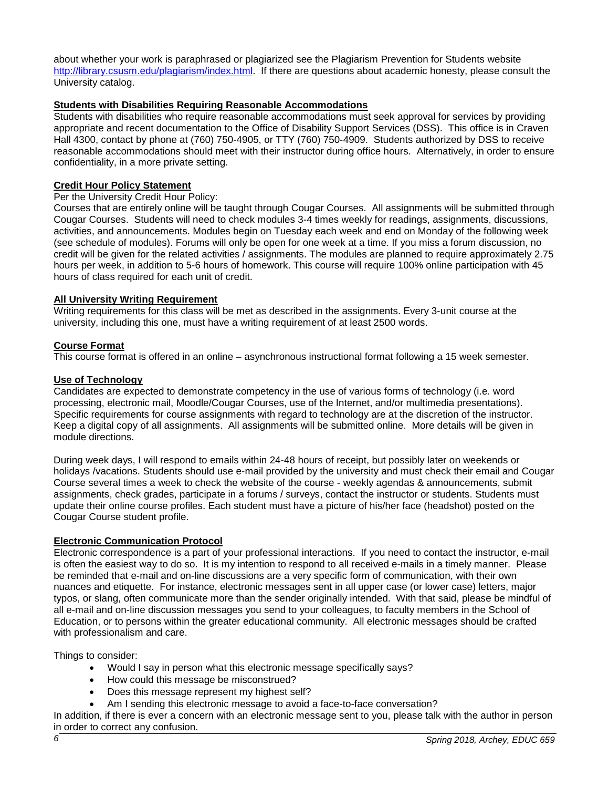about whether your work is paraphrased or plagiarized see the Plagiarism Prevention for Students website [http://library.csusm.edu/plagiarism/index.html.](http://library.csusm.edu/plagiarism/index.html) If there are questions about academic honesty, please consult the University catalog.

### <span id="page-5-0"></span>**Students with Disabilities Requiring Reasonable Accommodations**

Students with disabilities who require reasonable accommodations must seek approval for services by providing appropriate and recent documentation to the Office of Disability Support Services (DSS). This office is in Craven Hall 4300, contact by phone at (760) 750-4905, or TTY (760) 750-4909. Students authorized by DSS to receive reasonable accommodations should meet with their instructor during office hours. Alternatively, in order to ensure confidentiality, in a more private setting.

#### <span id="page-5-1"></span>**Credit Hour Policy Statement**

#### Per the University Credit Hour Policy:

Courses that are entirely online will be taught through Cougar Courses. All assignments will be submitted through Cougar Courses. Students will need to check modules 3-4 times weekly for readings, assignments, discussions, activities, and announcements. Modules begin on Tuesday each week and end on Monday of the following week (see schedule of modules). Forums will only be open for one week at a time. If you miss a forum discussion, no credit will be given for the related activities / assignments. The modules are planned to require approximately 2.75 hours per week, in addition to 5-6 hours of homework. This course will require 100% online participation with 45 hours of class required for each unit of credit.

#### **All University Writing Requirement**

Writing requirements for this class will be met as described in the assignments. Every 3-unit course at the university, including this one, must have a writing requirement of at least 2500 words.

#### **Course Format**

This course format is offered in an online – asynchronous instructional format following a 15 week semester.

#### **Use of Technology**

Candidates are expected to demonstrate competency in the use of various forms of technology (i.e. word processing, electronic mail, Moodle/Cougar Courses, use of the Internet, and/or multimedia presentations). Specific requirements for course assignments with regard to technology are at the discretion of the instructor. Keep a digital copy of all assignments. All assignments will be submitted online. More details will be given in module directions.

During week days, I will respond to emails within 24-48 hours of receipt, but possibly later on weekends or holidays /vacations. Students should use e-mail provided by the university and must check their email and Cougar Course several times a week to check the website of the course - weekly agendas & announcements, submit assignments, check grades, participate in a forums / surveys, contact the instructor or students. Students must update their online course profiles. Each student must have a picture of his/her face (headshot) posted on the Cougar Course student profile.

### <span id="page-5-2"></span>**Electronic Communication Protocol**

Electronic correspondence is a part of your professional interactions. If you need to contact the instructor, e-mail is often the easiest way to do so. It is my intention to respond to all received e-mails in a timely manner. Please be reminded that e-mail and on-line discussions are a very specific form of communication, with their own nuances and etiquette. For instance, electronic messages sent in all upper case (or lower case) letters, major typos, or slang, often communicate more than the sender originally intended. With that said, please be mindful of all e-mail and on-line discussion messages you send to your colleagues, to faculty members in the School of Education, or to persons within the greater educational community. All electronic messages should be crafted with professionalism and care.

Things to consider:

- Would I say in person what this electronic message specifically says?
- How could this message be misconstrued?
- Does this message represent my highest self?
- Am I sending this electronic message to avoid a face-to-face conversation?

In addition, if there is ever a concern with an electronic message sent to you, please talk with the author in person in order to correct any confusion.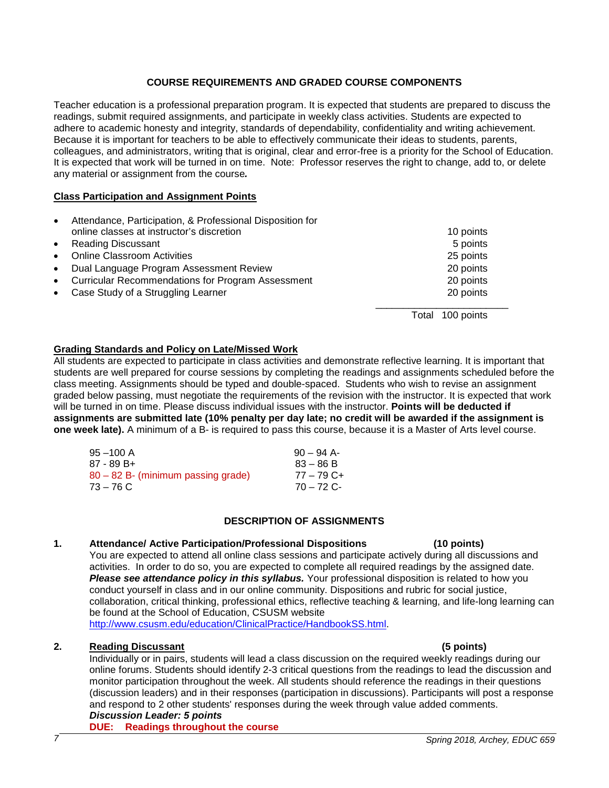### **COURSE REQUIREMENTS AND GRADED COURSE COMPONENTS**

<span id="page-6-0"></span>Teacher education is a professional preparation program. It is expected that students are prepared to discuss the readings, submit required assignments, and participate in weekly class activities. Students are expected to adhere to academic honesty and integrity, standards of dependability, confidentiality and writing achievement. Because it is important for teachers to be able to effectively communicate their ideas to students, parents, colleagues, and administrators, writing that is original, clear and error-free is a priority for the School of Education. It is expected that work will be turned in on time. Note: Professor reserves the right to change, add to, or delete any material or assignment from the course*.*

#### **Class Participation and Assignment Points**

| $\bullet$ | Attendance, Participation, & Professional Disposition for |                     |  |
|-----------|-----------------------------------------------------------|---------------------|--|
|           | online classes at instructor's discretion                 | 10 points           |  |
| $\bullet$ | <b>Reading Discussant</b>                                 | 5 points            |  |
| $\bullet$ | <b>Online Classroom Activities</b>                        | 25 points           |  |
| $\bullet$ | Dual Language Program Assessment Review                   | 20 points           |  |
| $\bullet$ | <b>Curricular Recommendations for Program Assessment</b>  | 20 points           |  |
| $\bullet$ | Case Study of a Struggling Learner                        | 20 points           |  |
|           |                                                           | 100 points<br>Total |  |

#### <span id="page-6-1"></span>**Grading Standards and Policy on Late/Missed Work**

All students are expected to participate in class activities and demonstrate reflective learning. It is important that students are well prepared for course sessions by completing the readings and assignments scheduled before the class meeting. Assignments should be typed and double-spaced. Students who wish to revise an assignment graded below passing, must negotiate the requirements of the revision with the instructor. It is expected that work will be turned in on time. Please discuss individual issues with the instructor. **Points will be deducted if assignments are submitted late (10% penalty per day late; no credit will be awarded if the assignment is one week late).** A minimum of a B- is required to pass this course, because it is a Master of Arts level course.

| $95 - 100$ A                       | $90 - 94$ A- |
|------------------------------------|--------------|
| 87 - 89 B+                         | $83 - 86 B$  |
| 80 – 82 B- (minimum passing grade) | $77 - 79$ C+ |
| $73 - 76$ C                        | $70 - 72$ C- |
|                                    |              |

# **DESCRIPTION OF ASSIGNMENTS**

### <span id="page-6-2"></span>**1. Attendance/ Active Participation/Professional Dispositions (10 points)**

You are expected to attend all online class sessions and participate actively during all discussions and activities. In order to do so, you are expected to complete all required readings by the assigned date. *Please see attendance policy in this syllabus.* Your professional disposition is related to how you conduct yourself in class and in our online community. Dispositions and rubric for social justice, collaboration, critical thinking, professional ethics, reflective teaching & learning, and life-long learning can be found at the School of Education, CSUSM website

[http://www.csusm.edu/education/ClinicalPractice/HandbookSS.html.](http://www.csusm.edu/education/ClinicalPractice/HandbookSS.html)

#### **2. Reading Discussant (5 points)**

Individually or in pairs, students will lead a class discussion on the required weekly readings during our online forums. Students should identify 2-3 critical questions from the readings to lead the discussion and monitor participation throughout the week. All students should reference the readings in their questions (discussion leaders) and in their responses (participation in discussions). Participants will post a response and respond to 2 other students' responses during the week through value added comments. *Discussion Leader: 5 points* 

# **DUE: Readings throughout the course**

# *7 Spring 2018, Archey, EDUC 659*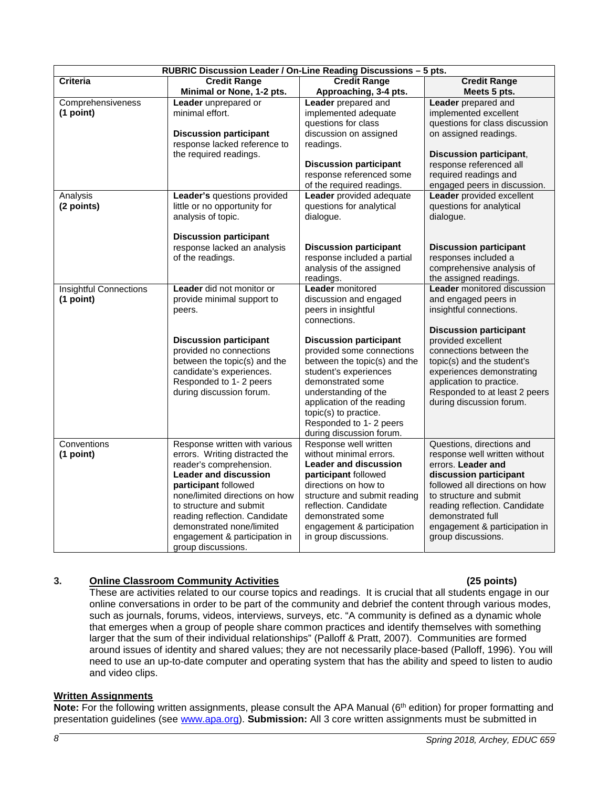| RUBRIC Discussion Leader / On-Line Reading Discussions - 5 pts. |                                                                                                                                                                                                                                                                                                                                      |                                                                                                                                                                                                                                                                               |                                                                                                                                                                                                                                                                                      |  |
|-----------------------------------------------------------------|--------------------------------------------------------------------------------------------------------------------------------------------------------------------------------------------------------------------------------------------------------------------------------------------------------------------------------------|-------------------------------------------------------------------------------------------------------------------------------------------------------------------------------------------------------------------------------------------------------------------------------|--------------------------------------------------------------------------------------------------------------------------------------------------------------------------------------------------------------------------------------------------------------------------------------|--|
| Criteria                                                        | <b>Credit Range</b><br>Minimal or None, 1-2 pts.                                                                                                                                                                                                                                                                                     | <b>Credit Range</b><br>Approaching, 3-4 pts.                                                                                                                                                                                                                                  | <b>Credit Range</b><br>Meets 5 pts.                                                                                                                                                                                                                                                  |  |
| Comprehensiveness<br>(1 point)                                  | Leader unprepared or<br>minimal effort.<br><b>Discussion participant</b><br>response lacked reference to<br>the required readings.                                                                                                                                                                                                   | Leader prepared and<br>implemented adequate<br>questions for class<br>discussion on assigned<br>readings.<br><b>Discussion participant</b><br>response referenced some<br>of the required readings.                                                                           | Leader prepared and<br>implemented excellent<br>questions for class discussion<br>on assigned readings.<br><b>Discussion participant,</b><br>response referenced all<br>required readings and<br>engaged peers in discussion.                                                        |  |
| Analysis<br>(2 points)                                          | Leader's questions provided<br>little or no opportunity for<br>analysis of topic.<br><b>Discussion participant</b>                                                                                                                                                                                                                   | Leader provided adequate<br>questions for analytical<br>dialogue.                                                                                                                                                                                                             | Leader provided excellent<br>questions for analytical<br>dialogue.                                                                                                                                                                                                                   |  |
|                                                                 | response lacked an analysis<br>of the readings.                                                                                                                                                                                                                                                                                      | <b>Discussion participant</b><br>response included a partial<br>analysis of the assigned<br>readings.                                                                                                                                                                         | <b>Discussion participant</b><br>responses included a<br>comprehensive analysis of<br>the assigned readings.                                                                                                                                                                         |  |
| <b>Insightful Connections</b><br>(1 point)                      | <b>Leader</b> did not monitor or<br>provide minimal support to<br>peers.                                                                                                                                                                                                                                                             | <b>Leader</b> monitored<br>discussion and engaged<br>peers in insightful<br>connections.                                                                                                                                                                                      | Leader monitored discussion<br>and engaged peers in<br>insightful connections.<br><b>Discussion participant</b>                                                                                                                                                                      |  |
|                                                                 | <b>Discussion participant</b><br>provided no connections<br>between the topic(s) and the<br>candidate's experiences.<br>Responded to 1-2 peers<br>during discussion forum.                                                                                                                                                           | <b>Discussion participant</b><br>provided some connections<br>between the topic(s) and the<br>student's experiences<br>demonstrated some<br>understanding of the<br>application of the reading<br>topic(s) to practice.<br>Responded to 1-2 peers<br>during discussion forum. | provided excellent<br>connections between the<br>topic(s) and the student's<br>experiences demonstrating<br>application to practice.<br>Responded to at least 2 peers<br>during discussion forum.                                                                                    |  |
| Conventions<br>(1 point)                                        | Response written with various<br>errors. Writing distracted the<br>reader's comprehension.<br><b>Leader and discussion</b><br>participant followed<br>none/limited directions on how<br>to structure and submit<br>reading reflection. Candidate<br>demonstrated none/limited<br>engagement & participation in<br>group discussions. | Response well written<br>without minimal errors.<br><b>Leader and discussion</b><br>participant followed<br>directions on how to<br>structure and submit reading<br>reflection. Candidate<br>demonstrated some<br>engagement & participation<br>in group discussions.         | Questions, directions and<br>response well written without<br>errors. Leader and<br>discussion participant<br>followed all directions on how<br>to structure and submit<br>reading reflection. Candidate<br>demonstrated full<br>engagement & participation in<br>group discussions. |  |

# **3. Online Classroom Community Activities (25 points)**

These are activities related to our course topics and readings. It is crucial that all students engage in our online conversations in order to be part of the community and debrief the content through various modes, such as journals, forums, videos, interviews, surveys, etc. "A community is defined as a dynamic whole that emerges when a group of people share common practices and identify themselves with something larger that the sum of their individual relationships" (Palloff & Pratt, 2007). Communities are formed around issues of identity and shared values; they are not necessarily place-based (Palloff, 1996). You will need to use an up-to-date computer and operating system that has the ability and speed to listen to audio and video clips.

### **Written Assignments**

Note: For the following written assignments, please consult the APA Manual (6<sup>th</sup> edition) for proper formatting and presentation guidelines (see [www.apa.org\)](http://www.apa.org/). **Submission:** All 3 core written assignments must be submitted in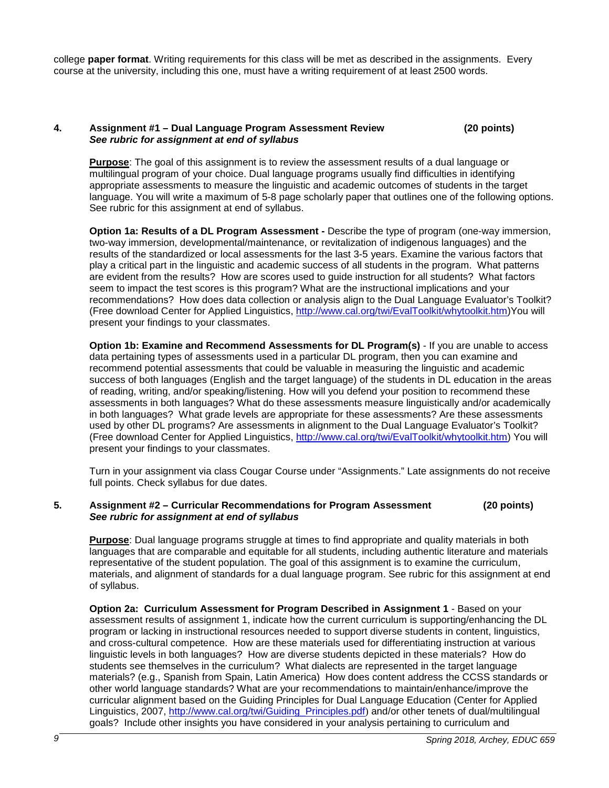college **paper format**. Writing requirements for this class will be met as described in the assignments. Every course at the university, including this one, must have a writing requirement of at least 2500 words.

#### **4. Assignment #1 – Dual Language Program Assessment Review (20 points)** *See rubric for assignment at end of syllabus*

**Purpose**: The goal of this assignment is to review the assessment results of a dual language or multilingual program of your choice. Dual language programs usually find difficulties in identifying appropriate assessments to measure the linguistic and academic outcomes of students in the target language. You will write a maximum of 5-8 page scholarly paper that outlines one of the following options. See rubric for this assignment at end of syllabus.

**Option 1a: Results of a DL Program Assessment -** Describe the type of program (one-way immersion, two-way immersion, developmental/maintenance, or revitalization of indigenous languages) and the results of the standardized or local assessments for the last 3-5 years. Examine the various factors that play a critical part in the linguistic and academic success of all students in the program. What patterns are evident from the results? How are scores used to guide instruction for all students? What factors seem to impact the test scores is this program? What are the instructional implications and your recommendations? How does data collection or analysis align to the Dual Language Evaluator's Toolkit? (Free download Center for Applied Linguistics, [http://www.cal.org/twi/EvalToolkit/whytoolkit.htm\)](http://www.cal.org/twi/EvalToolkit/whytoolkit.htm)You will present your findings to your classmates.

**Option 1b: Examine and Recommend Assessments for DL Program(s)** - If you are unable to access data pertaining types of assessments used in a particular DL program, then you can examine and recommend potential assessments that could be valuable in measuring the linguistic and academic success of both languages (English and the target language) of the students in DL education in the areas of reading, writing, and/or speaking/listening. How will you defend your position to recommend these assessments in both languages? What do these assessments measure linguistically and/or academically in both languages? What grade levels are appropriate for these assessments? Are these assessments used by other DL programs? Are assessments in alignment to the Dual Language Evaluator's Toolkit? (Free download Center for Applied Linguistics, [http://www.cal.org/twi/EvalToolkit/whytoolkit.htm\)](http://www.cal.org/twi/EvalToolkit/whytoolkit.htm) You will present your findings to your classmates.

Turn in your assignment via class Cougar Course under "Assignments." Late assignments do not receive full points. Check syllabus for due dates.

#### **5. Assignment #2 – Curricular Recommendations for Program Assessment (20 points)** *See rubric for assignment at end of syllabus*

**Purpose**: Dual language programs struggle at times to find appropriate and quality materials in both languages that are comparable and equitable for all students, including authentic literature and materials representative of the student population. The goal of this assignment is to examine the curriculum, materials, and alignment of standards for a dual language program. See rubric for this assignment at end of syllabus.

**Option 2a: Curriculum Assessment for Program Described in Assignment 1** - Based on your assessment results of assignment 1, indicate how the current curriculum is supporting/enhancing the DL program or lacking in instructional resources needed to support diverse students in content, linguistics, and cross-cultural competence. How are these materials used for differentiating instruction at various linguistic levels in both languages? How are diverse students depicted in these materials? How do students see themselves in the curriculum? What dialects are represented in the target language materials? (e.g., Spanish from Spain, Latin America) How does content address the CCSS standards or other world language standards? What are your recommendations to maintain/enhance/improve the curricular alignment based on the Guiding Principles for Dual Language Education (Center for Applied Linguistics, 2007, [http://www.cal.org/twi/Guiding\\_Principles.pdf](http://www.cal.org/twi/Guiding_Principles.pdf)) and/or other tenets of dual/multilingual goals? Include other insights you have considered in your analysis pertaining to curriculum and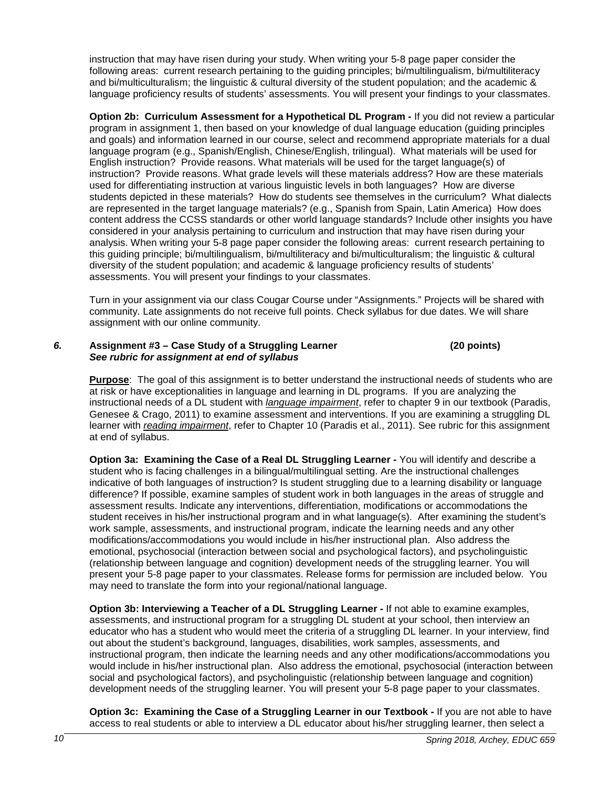instruction that may have risen during your study. When writing your 5-8 page paper consider the following areas: current research pertaining to the guiding principles; bi/multilingualism, bi/multiliteracy and bi/multiculturalism; the linguistic & cultural diversity of the student population; and the academic & language proficiency results of students' assessments. You will present your findings to your classmates.

**Option 2b: Curriculum Assessment for a Hypothetical DL Program -** If you did not review a particular program in assignment 1, then based on your knowledge of dual language education (guiding principles and goals) and information learned in our course, select and recommend appropriate materials for a dual language program (e.g., Spanish/English, Chinese/English, trilingual). What materials will be used for English instruction? Provide reasons. What materials will be used for the target language(s) of instruction? Provide reasons. What grade levels will these materials address? How are these materials used for differentiating instruction at various linguistic levels in both languages? How are diverse students depicted in these materials? How do students see themselves in the curriculum? What dialects are represented in the target language materials? (e.g., Spanish from Spain, Latin America) How does content address the CCSS standards or other world language standards? Include other insights you have considered in your analysis pertaining to curriculum and instruction that may have risen during your analysis. When writing your 5-8 page paper consider the following areas: current research pertaining to this guiding principle; bi/multilingualism, bi/multiliteracy and bi/multiculturalism; the linguistic & cultural diversity of the student population; and academic & language proficiency results of students' assessments. You will present your findings to your classmates.

Turn in your assignment via our class Cougar Course under "Assignments." Projects will be shared with community. Late assignments do not receive full points. Check syllabus for due dates. We will share assignment with our online community.

#### *6.* **Assignment #3 – Case Study of a Struggling Learner (20 points)** *See rubric for assignment at end of syllabus*

**Purpose**: The goal of this assignment is to better understand the instructional needs of students who are at risk or have exceptionalities in language and learning in DL programs. If you are analyzing the instructional needs of a DL student with *language impairment*, refer to chapter 9 in our textbook (Paradis, Genesee & Crago, 2011) to examine assessment and interventions. If you are examining a struggling DL learner with *reading impairment*, refer to Chapter 10 (Paradis et al., 2011). See rubric for this assignment at end of syllabus.

**Option 3a: Examining the Case of a Real DL Struggling Learner -** You will identify and describe a student who is facing challenges in a bilingual/multilingual setting. Are the instructional challenges indicative of both languages of instruction? Is student struggling due to a learning disability or language difference? If possible, examine samples of student work in both languages in the areas of struggle and assessment results. Indicate any interventions, differentiation, modifications or accommodations the student receives in his/her instructional program and in what language(s). After examining the student's work sample, assessments, and instructional program, indicate the learning needs and any other modifications/accommodations you would include in his/her instructional plan. Also address the emotional, psychosocial (interaction between social and psychological factors), and psycholinguistic (relationship between language and cognition) development needs of the struggling learner. You will present your 5-8 page paper to your classmates. Release forms for permission are included below. You may need to translate the form into your regional/national language.

**Option 3b: Interviewing a Teacher of a DL Struggling Learner -** If not able to examine examples, assessments, and instructional program for a struggling DL student at your school, then interview an educator who has a student who would meet the criteria of a struggling DL learner. In your interview, find out about the student's background, languages, disabilities, work samples, assessments, and instructional program, then indicate the learning needs and any other modifications/accommodations you would include in his/her instructional plan. Also address the emotional, psychosocial (interaction between social and psychological factors), and psycholinguistic (relationship between language and cognition) development needs of the struggling learner. You will present your 5-8 page paper to your classmates.

**Option 3c: Examining the Case of a Struggling Learner in our Textbook -** If you are not able to have access to real students or able to interview a DL educator about his/her struggling learner, then select a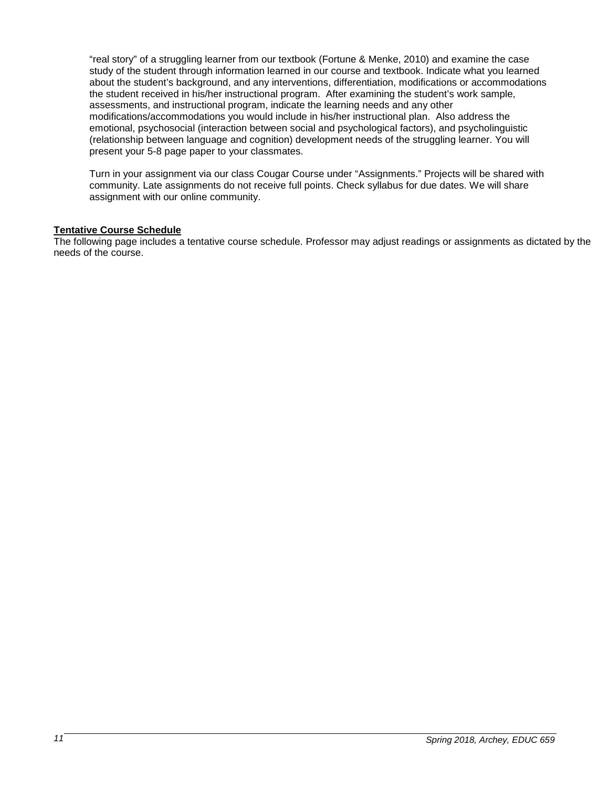"real story" of a struggling learner from our textbook (Fortune & Menke, 2010) and examine the case study of the student through information learned in our course and textbook. Indicate what you learned about the student's background, and any interventions, differentiation, modifications or accommodations the student received in his/her instructional program. After examining the student's work sample, assessments, and instructional program, indicate the learning needs and any other modifications/accommodations you would include in his/her instructional plan. Also address the emotional, psychosocial (interaction between social and psychological factors), and psycholinguistic (relationship between language and cognition) development needs of the struggling learner. You will present your 5-8 page paper to your classmates.

Turn in your assignment via our class Cougar Course under "Assignments." Projects will be shared with community. Late assignments do not receive full points. Check syllabus for due dates. We will share assignment with our online community.

#### **Tentative Course Schedule**

The following page includes a tentative course schedule. Professor may adjust readings or assignments as dictated by the needs of the course.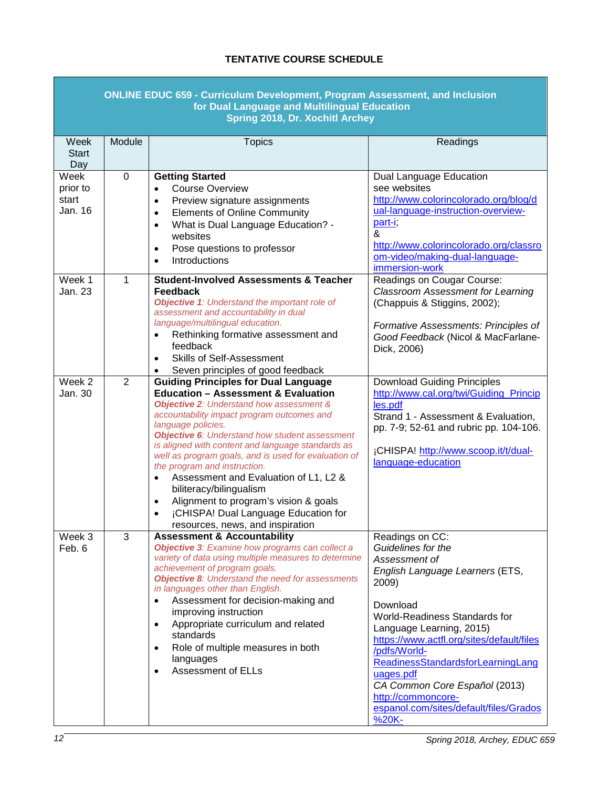# **TENTATIVE COURSE SCHEDULE**

<span id="page-11-0"></span>

|                                      |                | <b>ONLINE EDUC 659 - Curriculum Development, Program Assessment, and Inclusion</b><br>for Dual Language and Multilingual Education<br>Spring 2018, Dr. Xochitl Archey                                                                                                                                                                                                                                                                                                                                                                                                                                                                                          |                                                                                                                                                                                                                                                                                                                                                                                                             |
|--------------------------------------|----------------|----------------------------------------------------------------------------------------------------------------------------------------------------------------------------------------------------------------------------------------------------------------------------------------------------------------------------------------------------------------------------------------------------------------------------------------------------------------------------------------------------------------------------------------------------------------------------------------------------------------------------------------------------------------|-------------------------------------------------------------------------------------------------------------------------------------------------------------------------------------------------------------------------------------------------------------------------------------------------------------------------------------------------------------------------------------------------------------|
| Week<br><b>Start</b><br>Day          | Module         | <b>Topics</b>                                                                                                                                                                                                                                                                                                                                                                                                                                                                                                                                                                                                                                                  | Readings                                                                                                                                                                                                                                                                                                                                                                                                    |
| Week<br>prior to<br>start<br>Jan. 16 | 0              | <b>Getting Started</b><br><b>Course Overview</b><br>$\bullet$<br>Preview signature assignments<br>$\bullet$<br><b>Elements of Online Community</b><br>$\bullet$<br>What is Dual Language Education? -<br>$\bullet$<br>websites<br>Pose questions to professor<br>$\bullet$<br>Introductions<br>$\bullet$                                                                                                                                                                                                                                                                                                                                                       | Dual Language Education<br>see websites<br>http://www.colorincolorado.org/blog/d<br>ual-language-instruction-overview-<br>part-i;<br>&<br>http://www.colorincolorado.org/classro<br>om-video/making-dual-language-<br>immersion-work                                                                                                                                                                        |
| Week 1<br>Jan. 23                    | $\mathbf{1}$   | <b>Student-Involved Assessments &amp; Teacher</b><br><b>Feedback</b><br><b>Objective 1:</b> Understand the important role of<br>assessment and accountability in dual<br>language/multilingual education.<br>Rethinking formative assessment and<br>$\bullet$<br>feedback<br><b>Skills of Self-Assessment</b><br>$\bullet$<br>Seven principles of good feedback                                                                                                                                                                                                                                                                                                | Readings on Cougar Course:<br><b>Classroom Assessment for Learning</b><br>(Chappuis & Stiggins, 2002);<br>Formative Assessments: Principles of<br>Good Feedback (Nicol & MacFarlane-<br>Dick, 2006)                                                                                                                                                                                                         |
| Week 2<br>Jan. 30                    | $\overline{2}$ | <b>Guiding Principles for Dual Language</b><br><b>Education - Assessment &amp; Evaluation</b><br><b>Objective 2: Understand how assessment &amp;</b><br>accountability impact program outcomes and<br>language policies.<br><b>Objective 6:</b> Understand how student assessment<br>is aligned with content and language standards as<br>well as program goals, and is used for evaluation of<br>the program and instruction.<br>Assessment and Evaluation of L1, L2 &<br>$\bullet$<br>biliteracy/bilingualism<br>Alignment to program's vision & goals<br>$\bullet$<br>¡CHISPA! Dual Language Education for<br>$\bullet$<br>resources, news, and inspiration | <b>Download Guiding Principles</b><br>http://www.cal.org/twi/Guiding_Princip<br>les.pdf<br>Strand 1 - Assessment & Evaluation,<br>pp. 7-9; 52-61 and rubric pp. 104-106.<br>¡CHISPA! http://www.scoop.it/t/dual-<br>language-education                                                                                                                                                                      |
| Week 3<br>Feb. 6                     | 3              | <b>Assessment &amp; Accountability</b><br>Objective 3: Examine how programs can collect a<br>variety of data using multiple measures to determine<br>achievement of program goals.<br><b>Objective 8:</b> Understand the need for assessments<br>in languages other than English.<br>Assessment for decision-making and<br>$\bullet$<br>improving instruction<br>Appropriate curriculum and related<br>$\bullet$<br>standards<br>Role of multiple measures in both<br>$\bullet$<br>languages<br><b>Assessment of ELLs</b><br>$\bullet$                                                                                                                         | Readings on CC:<br>Guidelines for the<br>Assessment of<br>English Language Learners (ETS,<br>2009)<br>Download<br><b>World-Readiness Standards for</b><br>Language Learning, 2015)<br>https://www.actfl.org/sites/default/files<br>/pdfs/World-<br>ReadinessStandardsforLearningLang<br>uages.pdf<br>CA Common Core Español (2013)<br>http://commoncore-<br>espanol.com/sites/default/files/Grados<br>%20K- |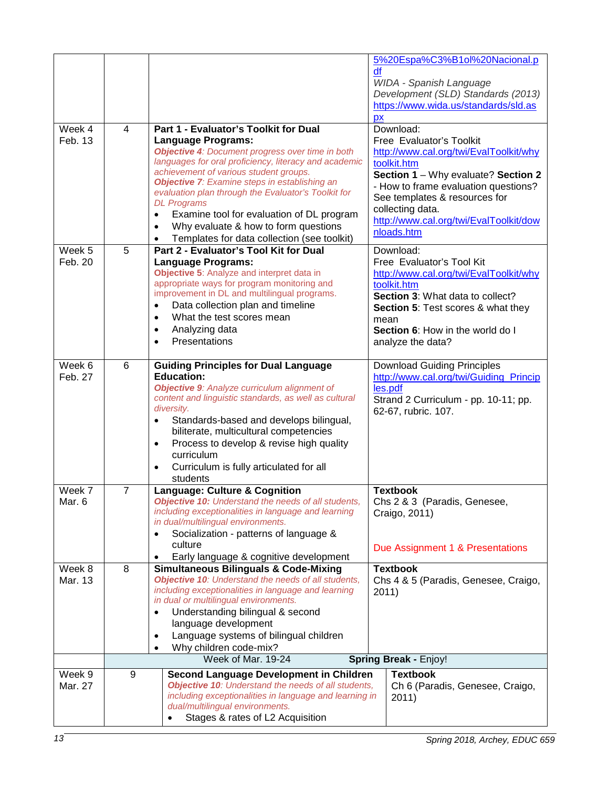| Week 4<br>Feb. 13 | $\overline{4}$ | Part 1 - Evaluator's Toolkit for Dual<br><b>Language Programs:</b><br><b>Objective 4: Document progress over time in both</b><br>languages for oral proficiency, literacy and academic<br>achievement of various student groups.<br><b>Objective 7:</b> Examine steps in establishing an<br>evaluation plan through the Evaluator's Toolkit for<br><b>DL</b> Programs<br>Examine tool for evaluation of DL program<br>$\bullet$      | 5%20Espa%C3%B1ol%20Nacional.p<br>df<br>WIDA - Spanish Language<br>Development (SLD) Standards (2013)<br>https://www.wida.us/standards/sld.as<br>px<br>Download:<br>Free Evaluator's Toolkit<br>http://www.cal.org/twi/EvalToolkit/why<br>toolkit.htm<br>Section 1 - Why evaluate? Section 2<br>- How to frame evaluation questions?<br>See templates & resources for<br>collecting data. |
|-------------------|----------------|--------------------------------------------------------------------------------------------------------------------------------------------------------------------------------------------------------------------------------------------------------------------------------------------------------------------------------------------------------------------------------------------------------------------------------------|------------------------------------------------------------------------------------------------------------------------------------------------------------------------------------------------------------------------------------------------------------------------------------------------------------------------------------------------------------------------------------------|
|                   |                | Why evaluate & how to form questions<br>$\bullet$<br>Templates for data collection (see toolkit)<br>$\bullet$                                                                                                                                                                                                                                                                                                                        | http://www.cal.org/twi/EvalToolkit/dow<br>nloads.htm                                                                                                                                                                                                                                                                                                                                     |
| Week 5<br>Feb. 20 | 5              | Part 2 - Evaluator's Tool Kit for Dual<br><b>Language Programs:</b><br>Objective 5: Analyze and interpret data in<br>appropriate ways for program monitoring and<br>improvement in DL and multilingual programs.<br>Data collection plan and timeline<br>$\bullet$<br>What the test scores mean<br>$\bullet$<br>Analyzing data<br>$\bullet$<br>Presentations<br>$\bullet$                                                            | Download:<br>Free Evaluator's Tool Kit<br>http://www.cal.org/twi/EvalToolkit/why<br>toolkit.htm<br>Section 3: What data to collect?<br>Section 5: Test scores & what they<br>mean<br>Section 6: How in the world do I<br>analyze the data?                                                                                                                                               |
| Week 6<br>Feb. 27 | 6              | <b>Guiding Principles for Dual Language</b><br><b>Education:</b><br>Objective 9: Analyze curriculum alignment of<br>content and linguistic standards, as well as cultural<br>diversity.<br>Standards-based and develops bilingual,<br>$\bullet$<br>biliterate, multicultural competencies<br>Process to develop & revise high quality<br>$\bullet$<br>curriculum<br>Curriculum is fully articulated for all<br>$\bullet$<br>students | <b>Download Guiding Principles</b><br>http://www.cal.org/twi/Guiding Princip<br>les.pdf<br>Strand 2 Curriculum - pp. 10-11; pp.<br>62-67, rubric. 107.                                                                                                                                                                                                                                   |
| Week 7<br>Mar. 6  | $\overline{7}$ | <b>Language: Culture &amp; Cognition</b><br><b>Objective 10:</b> Understand the needs of all students,<br>including exceptionalities in language and learning<br>in dual/multilingual environments.<br>Socialization - patterns of language &<br>$\bullet$<br>culture<br>Early language & cognitive development<br>$\bullet$                                                                                                         | <b>Textbook</b><br>Chs 2 & 3 (Paradis, Genesee,<br>Craigo, 2011)<br>Due Assignment 1 & Presentations                                                                                                                                                                                                                                                                                     |
| Week 8<br>Mar. 13 | 8              | <b>Simultaneous Bilinguals &amp; Code-Mixing</b><br><b>Objective 10:</b> Understand the needs of all students,<br>including exceptionalities in language and learning<br>in dual or multilingual environments.<br>Understanding bilingual & second<br>$\bullet$<br>language development<br>Language systems of bilingual children<br>$\bullet$<br>Why children code-mix?<br>$\bullet$                                                | <b>Textbook</b><br>Chs 4 & 5 (Paradis, Genesee, Craigo,<br>2011)                                                                                                                                                                                                                                                                                                                         |
|                   |                | Week of Mar. 19-24                                                                                                                                                                                                                                                                                                                                                                                                                   | <b>Spring Break - Enjoy!</b>                                                                                                                                                                                                                                                                                                                                                             |
| Week 9<br>Mar. 27 | 9              | <b>Second Language Development in Children</b><br><b>Objective 10:</b> Understand the needs of all students,<br>including exceptionalities in language and learning in<br>dual/multilingual environments.<br>Stages & rates of L2 Acquisition<br>$\bullet$                                                                                                                                                                           | <b>Textbook</b><br>Ch 6 (Paradis, Genesee, Craigo,<br>2011)                                                                                                                                                                                                                                                                                                                              |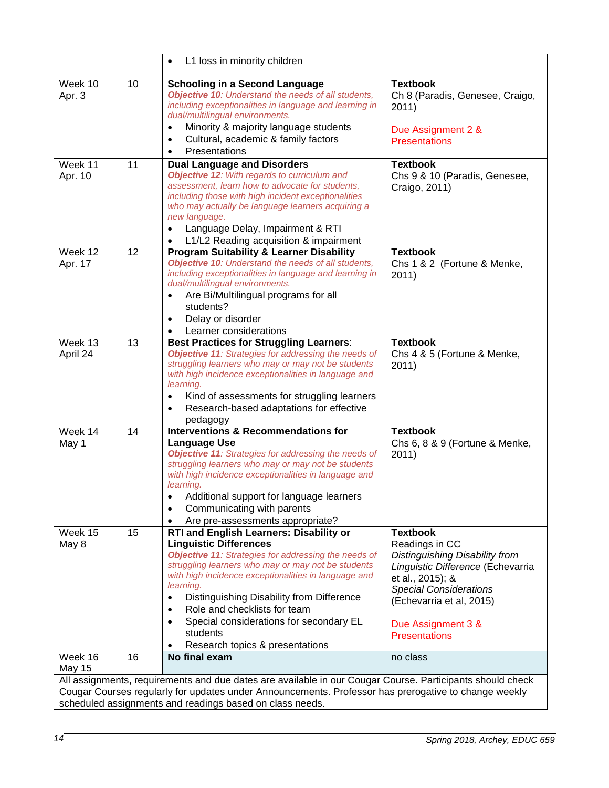|                          |    | L1 loss in minority children<br>$\bullet$                                                                                                                                                                                                                                                                                                                                                                                                                                 |                                                                                                                                                                                                                                         |
|--------------------------|----|---------------------------------------------------------------------------------------------------------------------------------------------------------------------------------------------------------------------------------------------------------------------------------------------------------------------------------------------------------------------------------------------------------------------------------------------------------------------------|-----------------------------------------------------------------------------------------------------------------------------------------------------------------------------------------------------------------------------------------|
| Week 10<br>Apr. 3        | 10 | <b>Schooling in a Second Language</b><br>Objective 10: Understand the needs of all students,<br>including exceptionalities in language and learning in<br>dual/multilingual environments.<br>Minority & majority language students<br>$\bullet$<br>Cultural, academic & family factors<br>$\bullet$<br>Presentations<br>$\bullet$                                                                                                                                         | <b>Textbook</b><br>Ch 8 (Paradis, Genesee, Craigo,<br>2011)<br>Due Assignment 2 &<br><b>Presentations</b>                                                                                                                               |
| Week 11<br>Apr. 10       | 11 | <b>Dual Language and Disorders</b><br>Objective 12: With regards to curriculum and<br>assessment, learn how to advocate for students,<br>including those with high incident exceptionalities<br>who may actually be language learners acquiring a<br>new language.<br>Language Delay, Impairment & RTI<br>$\bullet$<br>L1/L2 Reading acquisition & impairment<br>٠                                                                                                        | <b>Textbook</b><br>Chs 9 & 10 (Paradis, Genesee,<br>Craigo, 2011)                                                                                                                                                                       |
| Week 12<br>Apr. 17       | 12 | <b>Program Suitability &amp; Learner Disability</b><br>Objective 10: Understand the needs of all students,<br>including exceptionalities in language and learning in<br>dual/multilingual environments.<br>Are Bi/Multilingual programs for all<br>$\bullet$<br>students?<br>Delay or disorder<br>$\bullet$<br>Learner considerations<br>$\bullet$                                                                                                                        | <b>Textbook</b><br>Chs 1 & 2 (Fortune & Menke,<br>2011)                                                                                                                                                                                 |
| Week 13<br>April 24      | 13 | <b>Best Practices for Struggling Learners:</b><br>Objective 11: Strategies for addressing the needs of<br>struggling learners who may or may not be students<br>with high incidence exceptionalities in language and<br>learning.<br>Kind of assessments for struggling learners<br>$\bullet$<br>Research-based adaptations for effective<br>$\bullet$<br>pedagogy                                                                                                        | <b>Textbook</b><br>Chs 4 & 5 (Fortune & Menke,<br>2011)                                                                                                                                                                                 |
| Week 14<br>May 1         | 14 | <b>Interventions &amp; Recommendations for</b><br><b>Language Use</b><br>Objective 11: Strategies for addressing the needs of<br>struggling learners who may or may not be students<br>with high incidence exceptionalities in language and<br>learning.<br>Additional support for language learners<br>Communicating with parents<br>$\bullet$<br>Are pre-assessments appropriate?                                                                                       | <b>Textbook</b><br>Chs 6, 8 & 9 (Fortune & Menke,<br>2011)                                                                                                                                                                              |
| Week 15<br>May 8         | 15 | RTI and English Learners: Disability or<br><b>Linguistic Differences</b><br>Objective 11: Strategies for addressing the needs of<br>struggling learners who may or may not be students<br>with high incidence exceptionalities in language and<br>learning.<br>Distinguishing Disability from Difference<br>$\bullet$<br>Role and checklists for team<br>$\bullet$<br>Special considerations for secondary EL<br>$\bullet$<br>students<br>Research topics & presentations | <b>Textbook</b><br>Readings in CC<br>Distinguishing Disability from<br>Linguistic Difference (Echevarria<br>et al., 2015); &<br><b>Special Considerations</b><br>(Echevarria et al, 2015)<br>Due Assignment 3 &<br><b>Presentations</b> |
| Week 16<br><b>May 15</b> | 16 | No final exam                                                                                                                                                                                                                                                                                                                                                                                                                                                             | no class                                                                                                                                                                                                                                |
|                          |    | All assignments, requirements and due dates are available in our Cougar Course. Participants should check<br>Cougar Courses regularly for updates under Announcements. Professor has prerogative to change weekly<br>scheduled assignments and readings based on class needs.                                                                                                                                                                                             |                                                                                                                                                                                                                                         |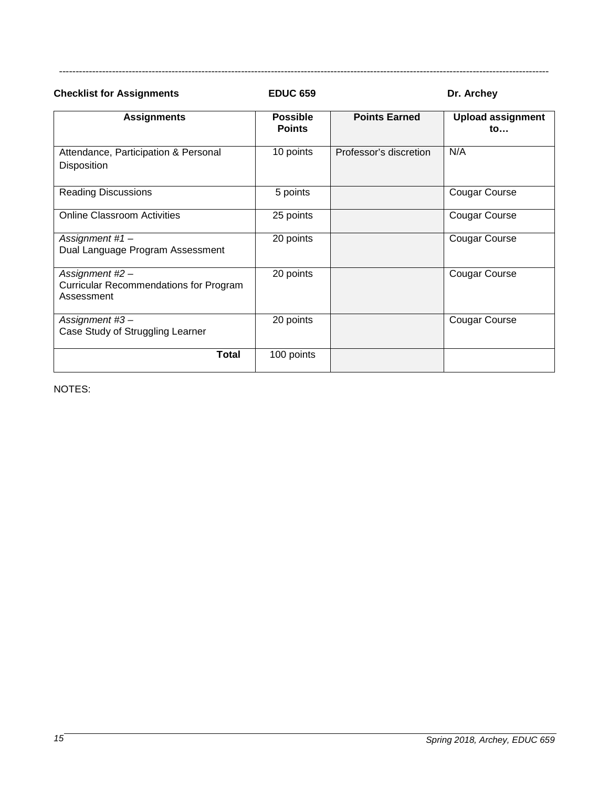**Checklist for Assignments EDUC 659 Dr. Archey** 

----------------------------------------------------------------------------------------------------------------------------------------------------

| <b>Assignments</b>                                                             | <b>Possible</b><br><b>Points</b> | <b>Points Earned</b>   | <b>Upload assignment</b><br>to |
|--------------------------------------------------------------------------------|----------------------------------|------------------------|--------------------------------|
| Attendance, Participation & Personal<br>Disposition                            | 10 points                        | Professor's discretion | N/A                            |
| <b>Reading Discussions</b>                                                     | 5 points                         |                        | <b>Cougar Course</b>           |
| <b>Online Classroom Activities</b>                                             | 25 points                        |                        | <b>Cougar Course</b>           |
| Assignment #1 -<br>Dual Language Program Assessment                            | 20 points                        |                        | <b>Cougar Course</b>           |
| Assignment #2 -<br><b>Curricular Recommendations for Program</b><br>Assessment | 20 points                        |                        | <b>Cougar Course</b>           |
| Assignment #3-<br>Case Study of Struggling Learner                             | 20 points                        |                        | Cougar Course                  |
| Total                                                                          | 100 points                       |                        |                                |

NOTES: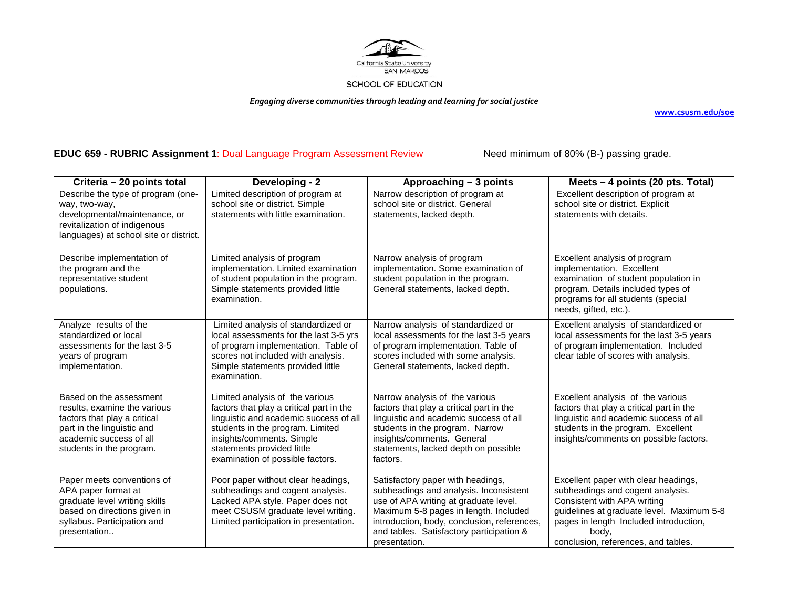

*Engaging diverse communities through leading and learning for social justice*

**[www.csusm.edu/soe](http://www.csusm.edu/soe)**

# **EDUC 659 - RUBRIC Assignment 1**: Dual Language Program Assessment ReviewNeed minimum of 80% (B-) passing grade.

<span id="page-15-0"></span>

| Criteria - 20 points total                                                                                                                                                   | Developing - 2                                                                                                                                                                                                                                           | Approaching - 3 points                                                                                                                                                                                                                                                    | Meets - 4 points (20 pts. Total)                                                                                                                                                                                                               |
|------------------------------------------------------------------------------------------------------------------------------------------------------------------------------|----------------------------------------------------------------------------------------------------------------------------------------------------------------------------------------------------------------------------------------------------------|---------------------------------------------------------------------------------------------------------------------------------------------------------------------------------------------------------------------------------------------------------------------------|------------------------------------------------------------------------------------------------------------------------------------------------------------------------------------------------------------------------------------------------|
| Describe the type of program (one-<br>way, two-way,<br>developmental/maintenance, or<br>revitalization of indigenous<br>languages) at school site or district.               | Limited description of program at<br>school site or district. Simple<br>statements with little examination.                                                                                                                                              | Narrow description of program at<br>school site or district. General<br>statements, lacked depth.                                                                                                                                                                         | Excellent description of program at<br>school site or district. Explicit<br>statements with details.                                                                                                                                           |
| Describe implementation of<br>the program and the<br>representative student<br>populations.                                                                                  | Limited analysis of program<br>implementation. Limited examination<br>of student population in the program.<br>Simple statements provided little<br>examination.                                                                                         | Narrow analysis of program<br>implementation. Some examination of<br>student population in the program.<br>General statements, lacked depth.                                                                                                                              | Excellent analysis of program<br>implementation. Excellent<br>examination of student population in<br>program. Details included types of<br>programs for all students (special<br>needs, gifted, etc.).                                        |
| Analyze results of the<br>standardized or local<br>assessments for the last 3-5<br>years of program<br>implementation.                                                       | Limited analysis of standardized or<br>local assessments for the last 3-5 yrs<br>of program implementation. Table of<br>scores not included with analysis.<br>Simple statements provided little<br>examination.                                          | Narrow analysis of standardized or<br>local assessments for the last 3-5 years<br>of program implementation. Table of<br>scores included with some analysis.<br>General statements, lacked depth.                                                                         | Excellent analysis of standardized or<br>local assessments for the last 3-5 years<br>of program implementation. Included<br>clear table of scores with analysis.                                                                               |
| Based on the assessment<br>results, examine the various<br>factors that play a critical<br>part in the linguistic and<br>academic success of all<br>students in the program. | Limited analysis of the various<br>factors that play a critical part in the<br>linguistic and academic success of all<br>students in the program. Limited<br>insights/comments. Simple<br>statements provided little<br>examination of possible factors. | Narrow analysis of the various<br>factors that play a critical part in the<br>linguistic and academic success of all<br>students in the program. Narrow<br>insights/comments. General<br>statements, lacked depth on possible<br>factors.                                 | Excellent analysis of the various<br>factors that play a critical part in the<br>linguistic and academic success of all<br>students in the program. Excellent<br>insights/comments on possible factors.                                        |
| Paper meets conventions of<br>APA paper format at<br>graduate level writing skills<br>based on directions given in<br>syllabus. Participation and<br>presentation            | Poor paper without clear headings,<br>subheadings and cogent analysis.<br>Lacked APA style. Paper does not<br>meet CSUSM graduate level writing.<br>Limited participation in presentation.                                                               | Satisfactory paper with headings,<br>subheadings and analysis. Inconsistent<br>use of APA writing at graduate level.<br>Maximum 5-8 pages in length. Included<br>introduction, body, conclusion, references,<br>and tables. Satisfactory participation &<br>presentation. | Excellent paper with clear headings,<br>subheadings and cogent analysis.<br>Consistent with APA writing<br>guidelines at graduate level. Maximum 5-8<br>pages in length Included introduction,<br>body.<br>conclusion, references, and tables. |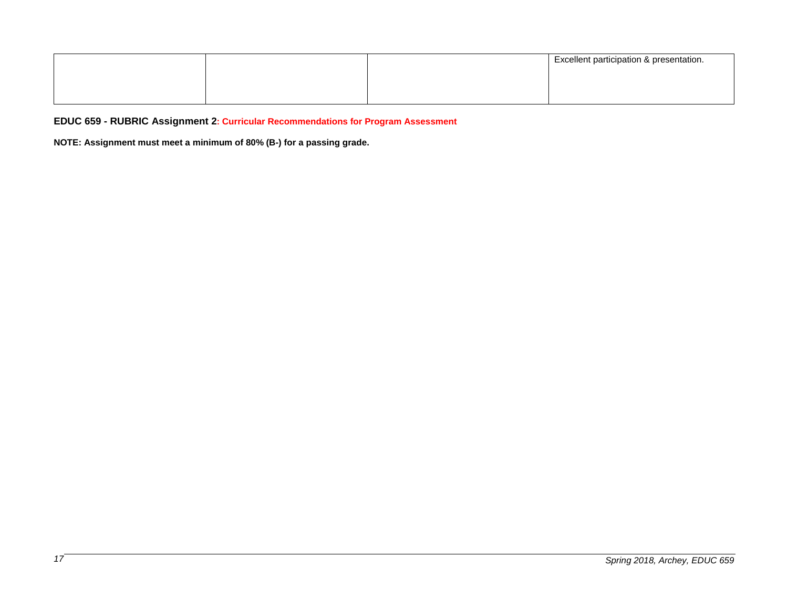|  | <b>Excellent participation &amp; presentation.</b> |
|--|----------------------------------------------------|
|  |                                                    |
|  |                                                    |
|  |                                                    |

**EDUC 659 - RUBRIC Assignment 2: Curricular Recommendations for Program Assessment** 

<span id="page-16-0"></span>**NOTE: Assignment must meet a minimum of 80% (B-) for a passing grade.**